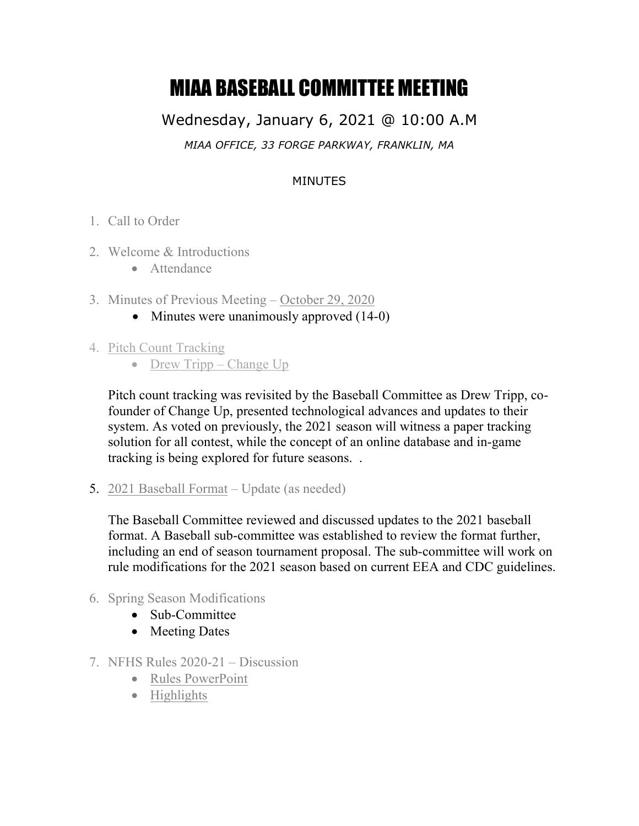## MIAA BASEBALL COMMITTEE MEETING

Wednesday, January 6, 2021 @ 10:00 A.M *MIAA OFFICE, 33 FORGE PARKWAY, FRANKLIN, MA*

## MINUTES

- 1. Call to Order
- 2. Welcome & Introductions
	- Attendance
- 3. Minutes of Previous Meeting [October 29, 2020](http://miaa.net/gen/miaa_generated_bin/documents/basic_module/MIAA_BASEBALL_COMMITTEE_MEETING_102920.pdf)
	- Minutes were unanimously approved  $(14-0)$
- 4. Pitch Count Tracking
	- Drew Tripp Change Up

Pitch count tracking was revisited by the Baseball Committee as Drew Tripp, cofounder of Change Up, presented technological advances and updates to their system. As voted on previously, the 2021 season will witness a paper tracking solution for all contest, while the concept of an online database and in-game tracking is being explored for future seasons. .

5. [2021 Baseball Format](http://miaa.net/gen/miaa_generated_bin/documents/basic_module/BaseballSpring2021.pdf) – Update (as needed)

The Baseball Committee reviewed and discussed updates to the 2021 baseball format. A Baseball sub-committee was established to review the format further, including an end of season tournament proposal. The sub-committee will work on rule modifications for the 2021 season based on current EEA and CDC guidelines.

- 6. Spring Season Modifications
	- Sub-Committee
	- Meeting Dates
- 7. NFHS Rules 2020-21 Discussion
	- Rules PowerPoint
	- Highlights